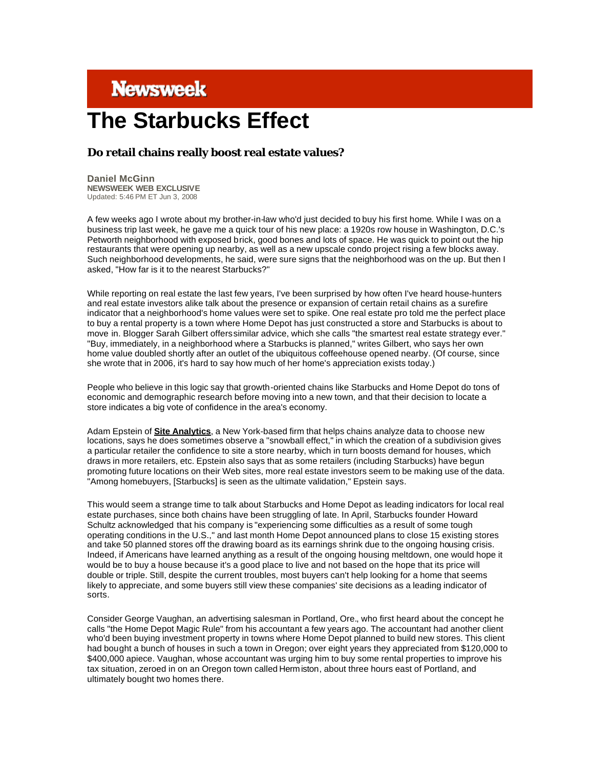## **Newsweek**

## **The Starbucks Effect**

## **Do retail chains really boost real estate values?**

**Daniel McGinn NEWSWEEK WEB EXCLUSIVE** Updated: 5:46 PM ET Jun 3, 2008

A few weeks ago I wrote about my brother-in-law who'd just decided to buy his first home. While I was on a business trip last week, he gave me a quick tour of his new place: a 1920s row house in Washington, D.C.'s Petworth neighborhood with exposed brick, good bones and lots of space. He was quick to point out the hip restaurants that were opening up nearby, as well as a new upscale condo project rising a few blocks away. Such neighborhood developments, he said, were sure signs that the neighborhood was on the up. But then I asked, "How far is it to the nearest Starbucks?"

While reporting on real estate the last few years, I've been surprised by how often I've heard house-hunters and real estate investors alike talk about the presence or expansion of certain retail chains as a surefire indicator that a neighborhood's home values were set to spike. One real estate pro told me the perfect place to buy a rental property is a town where Home Depot has just constructed a store and Starbucks is about to move in. Blogger Sarah Gilbert offers similar advice, which she calls "the smartest real estate strategy ever." "Buy, immediately, in a neighborhood where a Starbucks is planned," writes Gilbert, who says her own home value doubled shortly after an outlet of the ubiquitous coffeehouse opened nearby. (Of course, since she wrote that in 2006, it's hard to say how much of her home's appreciation exists today.)

People who believe in this logic say that growth-oriented chains like Starbucks and Home Depot do tons of economic and demographic research before moving into a new town, and that their decision to locate a store indicates a big vote of confidence in the area's economy.

Adam Epstein of **Site Analytics**, a New York-based firm that helps chains analyze data to choose new locations, says he does sometimes observe a "snowball effect," in which the creation of a subdivision gives a particular retailer the confidence to site a store nearby, which in turn boosts demand for houses, which draws in more retailers, etc. Epstein also says that as some retailers (including Starbucks) have begun promoting future locations on their Web sites, more real estate investors seem to be making use of the data. "Among homebuyers, [Starbucks] is seen as the ultimate validation," Epstein says.

This would seem a strange time to talk about Starbucks and Home Depot as leading indicators for local real estate purchases, since both chains have been struggling of late. In April, Starbucks founder Howard Schultz acknowledged that his company is "experiencing some difficulties as a result of some tough operating conditions in the U.S.," and last month Home Depot announced plans to close 15 existing stores and take 50 planned stores off the drawing board as its earnings shrink due to the ongoing housing crisis. Indeed, if Americans have learned anything as a result of the ongoing housing meltdown, one would hope it would be to buy a house because it's a good place to live and not based on the hope that its price will double or triple. Still, despite the current troubles, most buyers can't help looking for a home that seems likely to appreciate, and some buyers still view these companies' site decisions as a leading indicator of sorts.

Consider George Vaughan, an advertising salesman in Portland, Ore., who first heard about the concept he calls "the Home Depot Magic Rule" from his accountant a few years ago. The accountant had another client who'd been buying investment property in towns where Home Depot planned to build new stores. This client had bought a bunch of houses in such a town in Oregon; over eight years they appreciated from \$120,000 to \$400,000 apiece. Vaughan, whose accountant was urging him to buy some rental properties to improve his tax situation, zeroed in on an Oregon town called Herm iston, about three hours east of Portland, and ultimately bought two homes there.